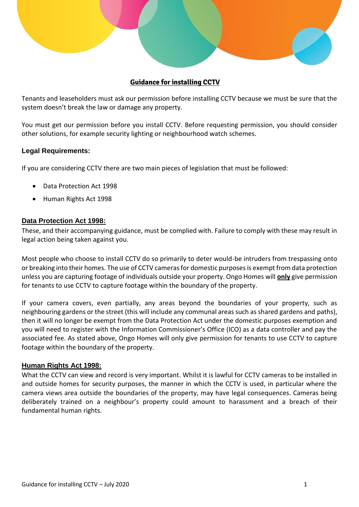

# **Guidance for installing CCTV**

Tenants and leaseholders must ask our permission before installing CCTV because we must be sure that the system doesn't break the law or damage any property.

You must get our permission before you install CCTV. Before requesting permission, you should consider other solutions, for example security lighting or neighbourhood watch schemes.

### **Legal Requirements:**

If you are considering CCTV there are two main pieces of legislation that must be followed:

- Data Protection Act 1998
- Human Rights Act 1998

### **Data Protection Act 1998:**

These, and their accompanying guidance, must be complied with. Failure to comply with these may result in legal action being taken against you.

Most people who choose to install CCTV do so primarily to deter would-be intruders from trespassing onto or breaking into their homes. The use of CCTV cameras for domestic purposes is exempt from data protection unless you are capturing footage of individuals outside your property. Ongo Homes will **only** give permission for tenants to use CCTV to capture footage within the boundary of the property.

If your camera covers, even partially, any areas beyond the boundaries of your property, such as neighbouring gardens or the street (this will include any communal areas such as shared gardens and paths), then it will no longer be exempt from the Data Protection Act under the domestic purposes exemption and you will need to register with the Information Commissioner's Office (ICO) as a data controller and pay the associated fee. As stated above, Ongo Homes will only give permission for tenants to use CCTV to capture footage within the boundary of the property.

### **Human Rights Act 1998:**

What the CCTV can view and record is very important. Whilst it is lawful for CCTV cameras to be installed in and outside homes for security purposes, the manner in which the CCTV is used, in particular where the camera views area outside the boundaries of the property, may have legal consequences. Cameras being deliberately trained on a neighbour's property could amount to harassment and a breach of their fundamental human rights.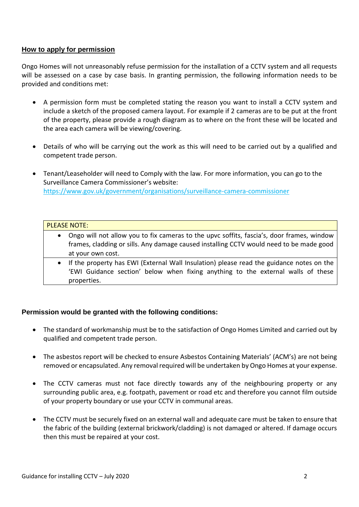## **How to apply for permission**

Ongo Homes will not unreasonably refuse permission for the installation of a CCTV system and all requests will be assessed on a case by case basis. In granting permission, the following information needs to be provided and conditions met:

- A permission form must be completed stating the reason you want to install a CCTV system and include a sketch of the proposed camera layout. For example if 2 cameras are to be put at the front of the property, please provide a rough diagram as to where on the front these will be located and the area each camera will be viewing/covering.
- Details of who will be carrying out the work as this will need to be carried out by a qualified and competent trade person.
- Tenant/Leaseholder will need to Comply with the law. For more information, you can go to the Surveillance Camera Commissioner's website: <https://www.gov.uk/government/organisations/surveillance-camera-commissioner>

#### PLEASE NOTE:

- Ongo will not allow you to fix cameras to the upvc soffits, fascia's, door frames, window frames, cladding or sills. Any damage caused installing CCTV would need to be made good at your own cost.
- If the property has EWI (External Wall Insulation) please read the guidance notes on the 'EWI Guidance section' below when fixing anything to the external walls of these properties.

## **Permission would be granted with the following conditions:**

- The standard of workmanship must be to the satisfaction of Ongo Homes Limited and carried out by qualified and competent trade person.
- The asbestos report will be checked to ensure Asbestos Containing Materials' (ACM's) are not being removed or encapsulated. Any removal required will be undertaken by Ongo Homes at your expense.
- The CCTV cameras must not face directly towards any of the neighbouring property or any surrounding public area, e.g. footpath, pavement or road etc and therefore you cannot film outside of your property boundary or use your CCTV in communal areas.
- The CCTV must be securely fixed on an external wall and adequate care must be taken to ensure that the fabric of the building (external brickwork/cladding) is not damaged or altered. If damage occurs then this must be repaired at your cost.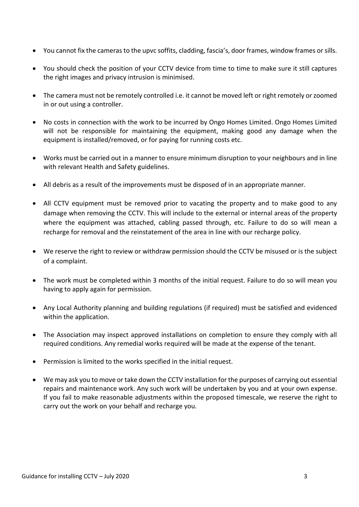- You cannot fix the cameras to the upvc soffits, cladding, fascia's, door frames, window frames or sills.
- You should check the position of your CCTV device from time to time to make sure it still captures the right images and privacy intrusion is minimised.
- The camera must not be remotely controlled i.e. it cannot be moved left or right remotely or zoomed in or out using a controller.
- No costs in connection with the work to be incurred by Ongo Homes Limited. Ongo Homes Limited will not be responsible for maintaining the equipment, making good any damage when the equipment is installed/removed, or for paying for running costs etc.
- Works must be carried out in a manner to ensure minimum disruption to your neighbours and in line with relevant Health and Safety guidelines.
- All debris as a result of the improvements must be disposed of in an appropriate manner.
- All CCTV equipment must be removed prior to vacating the property and to make good to any damage when removing the CCTV. This will include to the external or internal areas of the property where the equipment was attached, cabling passed through, etc. Failure to do so will mean a recharge for removal and the reinstatement of the area in line with our recharge policy.
- We reserve the right to review or withdraw permission should the CCTV be misused or is the subject of a complaint.
- The work must be completed within 3 months of the initial request. Failure to do so will mean you having to apply again for permission.
- Any Local Authority planning and building regulations (if required) must be satisfied and evidenced within the application.
- The Association may inspect approved installations on completion to ensure they comply with all required conditions. Any remedial works required will be made at the expense of the tenant.
- Permission is limited to the works specified in the initial request.
- We may ask you to move or take down the CCTV installation for the purposes of carrying out essential repairs and maintenance work. Any such work will be undertaken by you and at your own expense. If you fail to make reasonable adjustments within the proposed timescale, we reserve the right to carry out the work on your behalf and recharge you.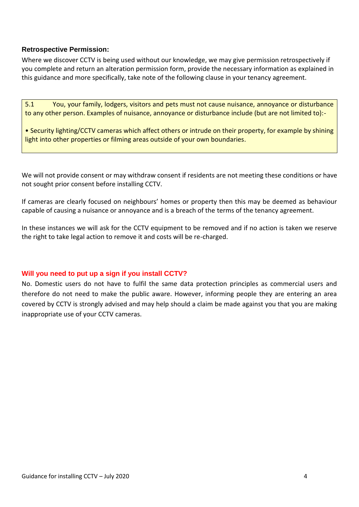## **Retrospective Permission:**

Where we discover CCTV is being used without our knowledge, we may give permission retrospectively if you complete and return an alteration permission form, provide the necessary information as explained in this guidance and more specifically, take note of the following clause in your tenancy agreement.

5.1 You, your family, lodgers, visitors and pets must not cause nuisance, annoyance or disturbance to any other person. Examples of nuisance, annoyance or disturbance include (but are not limited to):-

• Security lighting/CCTV cameras which affect others or intrude on their property, for example by shining light into other properties or filming areas outside of your own boundaries.

We will not provide consent or may withdraw consent if residents are not meeting these conditions or have not sought prior consent before installing CCTV.

If cameras are clearly focused on neighbours' homes or property then this may be deemed as behaviour capable of causing a nuisance or annoyance and is a breach of the terms of the tenancy agreement.

In these instances we will ask for the CCTV equipment to be removed and if no action is taken we reserve the right to take legal action to remove it and costs will be re-charged.

## **Will you need to put up a sign if you install CCTV?**

No. Domestic users do not have to fulfil the same data protection principles as commercial users and therefore do not need to make the public aware. However, informing people they are entering an area covered by CCTV is strongly advised and may help should a claim be made against you that you are making inappropriate use of your CCTV cameras.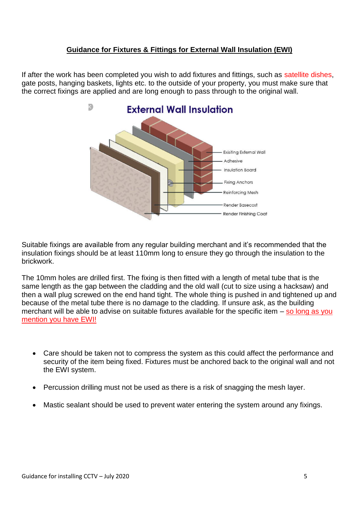# **Guidance for Fixtures & Fittings for External Wall Insulation (EWI)**

If after the work has been completed you wish to add fixtures and fittings, such as satellite dishes, gate posts, hanging baskets, lights etc. to the outside of your property, you must make sure that the correct fixings are applied and are long enough to pass through to the original wall.



Suitable fixings are available from any regular building merchant and it's recommended that the insulation fixings should be at least 110mm long to ensure they go through the insulation to the brickwork.

The 10mm holes are drilled first. The fixing is then fitted with a length of metal tube that is the same length as the gap between the cladding and the old wall (cut to size using a hacksaw) and then a wall plug screwed on the end hand tight. The whole thing is pushed in and tightened up and because of the metal tube there is no damage to the cladding. If unsure ask, as the building merchant will be able to advise on suitable fixtures available for the specific item  $-$  so long as you mention you have EWI!

- Care should be taken not to compress the system as this could affect the performance and security of the item being fixed. Fixtures must be anchored back to the original wall and not the EWI system.
- Percussion drilling must not be used as there is a risk of snagging the mesh layer.
- Mastic sealant should be used to prevent water entering the system around any fixings.